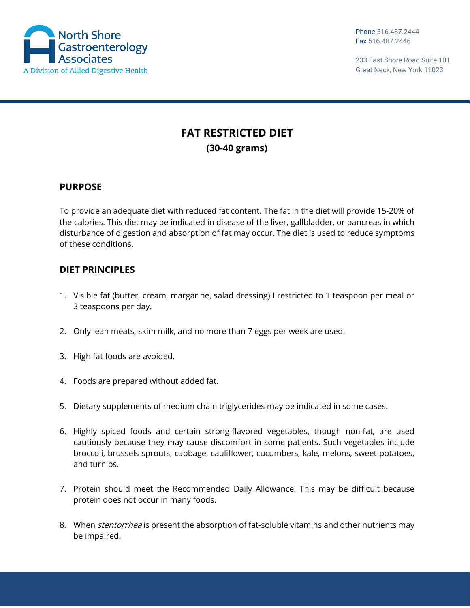

## **FAT RESTRICTED DIET (30-40 grams)**

## **PURPOSE**

To provide an adequate diet with reduced fat content. The fat in the diet will provide 15-20% of the calories. This diet may be indicated in disease of the liver, gallbladder, or pancreas in which disturbance of digestion and absorption of fat may occur. The diet is used to reduce symptoms of these conditions.

## **DIET PRINCIPLES**

- 1. Visible fat (butter, cream, margarine, salad dressing) I restricted to 1 teaspoon per meal or 3 teaspoons per day.
- 2. Only lean meats, skim milk, and no more than 7 eggs per week are used.
- 3. High fat foods are avoided.
- 4. Foods are prepared without added fat.
- 5. Dietary supplements of medium chain triglycerides may be indicated in some cases.
- 6. Highly spiced foods and certain strong-flavored vegetables, though non-fat, are used cautiously because they may cause discomfort in some patients. Such vegetables include broccoli, brussels sprouts, cabbage, cauliflower, cucumbers, kale, melons, sweet potatoes, and turnips.
- 7. Protein should meet the Recommended Daily Allowance. This may be difficult because protein does not occur in many foods.
- 8. When *stentorrhea* is present the absorption of fat-soluble vitamins and other nutrients may be impaired.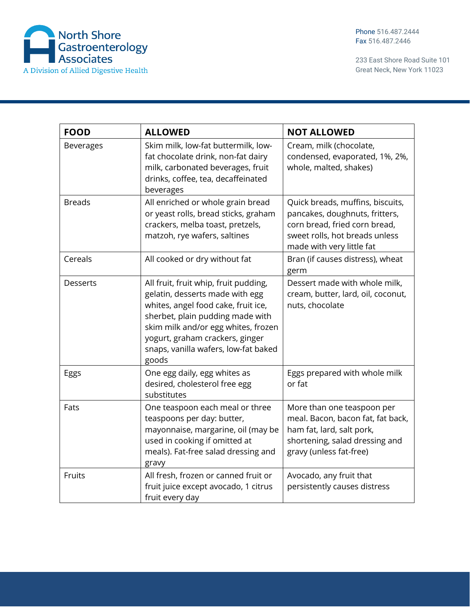

| <b>FOOD</b>      | <b>ALLOWED</b>                                                                                                                                                                                                                                                                 | <b>NOT ALLOWED</b>                                                                                                                                                 |
|------------------|--------------------------------------------------------------------------------------------------------------------------------------------------------------------------------------------------------------------------------------------------------------------------------|--------------------------------------------------------------------------------------------------------------------------------------------------------------------|
| <b>Beverages</b> | Skim milk, low-fat buttermilk, low-<br>fat chocolate drink, non-fat dairy<br>milk, carbonated beverages, fruit<br>drinks, coffee, tea, decaffeinated<br>beverages                                                                                                              | Cream, milk (chocolate,<br>condensed, evaporated, 1%, 2%,<br>whole, malted, shakes)                                                                                |
| <b>Breads</b>    | All enriched or whole grain bread<br>or yeast rolls, bread sticks, graham<br>crackers, melba toast, pretzels,<br>matzoh, rye wafers, saltines                                                                                                                                  | Quick breads, muffins, biscuits,<br>pancakes, doughnuts, fritters,<br>corn bread, fried corn bread,<br>sweet rolls, hot breads unless<br>made with very little fat |
| Cereals          | All cooked or dry without fat                                                                                                                                                                                                                                                  | Bran (if causes distress), wheat<br>germ                                                                                                                           |
| <b>Desserts</b>  | All fruit, fruit whip, fruit pudding,<br>gelatin, desserts made with egg<br>whites, angel food cake, fruit ice,<br>sherbet, plain pudding made with<br>skim milk and/or egg whites, frozen<br>yogurt, graham crackers, ginger<br>snaps, vanilla wafers, low-fat baked<br>goods | Dessert made with whole milk,<br>cream, butter, lard, oil, coconut,<br>nuts, chocolate                                                                             |
| Eggs             | One egg daily, egg whites as<br>desired, cholesterol free egg<br>substitutes                                                                                                                                                                                                   | Eggs prepared with whole milk<br>or fat                                                                                                                            |
| Fats             | One teaspoon each meal or three<br>teaspoons per day: butter,<br>mayonnaise, margarine, oil (may be<br>used in cooking if omitted at<br>meals). Fat-free salad dressing and<br>gravy                                                                                           | More than one teaspoon per<br>meal. Bacon, bacon fat, fat back,<br>ham fat, lard, salt pork,<br>shortening, salad dressing and<br>gravy (unless fat-free)          |
| Fruits           | All fresh, frozen or canned fruit or<br>fruit juice except avocado, 1 citrus<br>fruit every day                                                                                                                                                                                | Avocado, any fruit that<br>persistently causes distress                                                                                                            |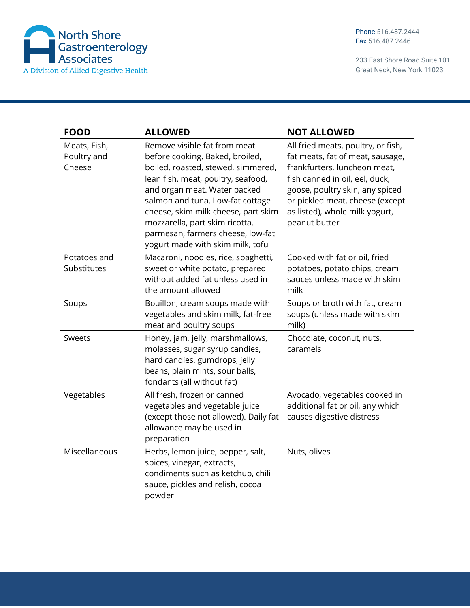

| <b>FOOD</b>                           | <b>ALLOWED</b>                                                                                                                                                                                                                                                                                                                                                    | <b>NOT ALLOWED</b>                                                                                                                                                                                                                                                |
|---------------------------------------|-------------------------------------------------------------------------------------------------------------------------------------------------------------------------------------------------------------------------------------------------------------------------------------------------------------------------------------------------------------------|-------------------------------------------------------------------------------------------------------------------------------------------------------------------------------------------------------------------------------------------------------------------|
| Meats, Fish,<br>Poultry and<br>Cheese | Remove visible fat from meat<br>before cooking. Baked, broiled,<br>boiled, roasted, stewed, simmered,<br>lean fish, meat, poultry, seafood,<br>and organ meat. Water packed<br>salmon and tuna. Low-fat cottage<br>cheese, skim milk cheese, part skim<br>mozzarella, part skim ricotta,<br>parmesan, farmers cheese, low-fat<br>yogurt made with skim milk, tofu | All fried meats, poultry, or fish,<br>fat meats, fat of meat, sausage,<br>frankfurters, luncheon meat,<br>fish canned in oil, eel, duck,<br>goose, poultry skin, any spiced<br>or pickled meat, cheese (except<br>as listed), whole milk yogurt,<br>peanut butter |
| Potatoes and<br>Substitutes           | Macaroni, noodles, rice, spaghetti,<br>sweet or white potato, prepared<br>without added fat unless used in<br>the amount allowed                                                                                                                                                                                                                                  | Cooked with fat or oil, fried<br>potatoes, potato chips, cream<br>sauces unless made with skim<br>milk                                                                                                                                                            |
| Soups                                 | Bouillon, cream soups made with<br>vegetables and skim milk, fat-free<br>meat and poultry soups                                                                                                                                                                                                                                                                   | Soups or broth with fat, cream<br>soups (unless made with skim<br>milk)                                                                                                                                                                                           |
| Sweets                                | Honey, jam, jelly, marshmallows,<br>molasses, sugar syrup candies,<br>hard candies, gumdrops, jelly<br>beans, plain mints, sour balls,<br>fondants (all without fat)                                                                                                                                                                                              | Chocolate, coconut, nuts,<br>caramels                                                                                                                                                                                                                             |
| Vegetables                            | All fresh, frozen or canned<br>vegetables and vegetable juice<br>(except those not allowed). Daily fat<br>allowance may be used in<br>preparation                                                                                                                                                                                                                 | Avocado, vegetables cooked in<br>additional fat or oil, any which<br>causes digestive distress                                                                                                                                                                    |
| Miscellaneous                         | Herbs, lemon juice, pepper, salt,<br>spices, vinegar, extracts,<br>condiments such as ketchup, chili<br>sauce, pickles and relish, cocoa<br>powder                                                                                                                                                                                                                | Nuts, olives                                                                                                                                                                                                                                                      |